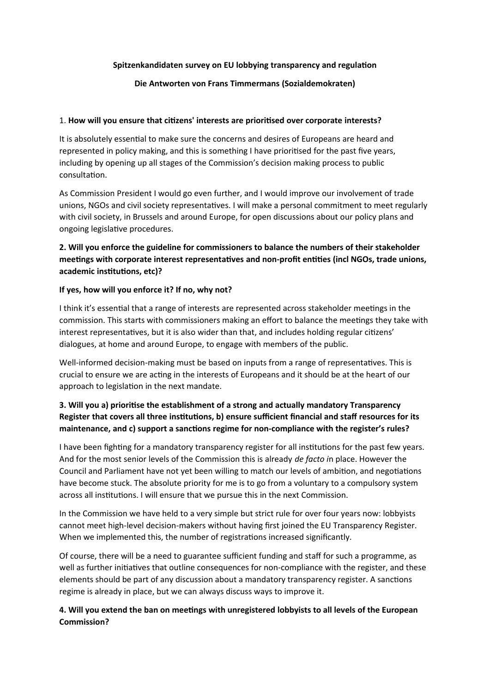### **Spitzenkandidaten survey on EU lobbying transparency and regulation**

### **Die Antworten von Frans Timmermans (Sozialdemokraten)**

#### 1. **How will you ensure that citizens' interests are prioritised over corporate interests?**

It is absolutely essential to make sure the concerns and desires of Europeans are heard and represented in policy making, and this is something I have prioritised for the past five years, including by opening up all stages of the Commission's decision making process to public consultation.

As Commission President I would go even further, and I would improve our involvement of trade unions, NGOs and civil society representatives. I will make a personal commitment to meet regularly with civil society, in Brussels and around Europe, for open discussions about our policy plans and ongoing legislative procedures.

## **2. Will you enforce the guideline for commissioners to balance the numbers of their stakeholder meetings with corporate interest representatives and non-profit entities (incl NGOs, trade unions, academic institutions, etc)?**

### **If yes, how will you enforce it? If no, why not?**

I think it's essential that a range of interests are represented across stakeholder meetings in the commission. This starts with commissioners making an effort to balance the meetings they take with interest representatives, but it is also wider than that, and includes holding regular citizens' dialogues, at home and around Europe, to engage with members of the public.

Well-informed decision-making must be based on inputs from a range of representatives. This is crucial to ensure we are acting in the interests of Europeans and it should be at the heart of our approach to legislation in the next mandate.

## **3. Will you a) prioritise the establishment of a strong and actually mandatory Transparency Register that covers all three institutions, b) ensure sufficient financial and staff resources for its maintenance, and c) support a sanctions regime for non-compliance with the register's rules?**

I have been fighting for a mandatory transparency register for all institutions for the past few years. And for the most senior levels of the Commission this is already *de facto i*n place. However the Council and Parliament have not yet been willing to match our levels of ambition, and negotiations have become stuck. The absolute priority for me is to go from a voluntary to a compulsory system across all institutions. I will ensure that we pursue this in the next Commission.

In the Commission we have held to a very simple but strict rule for over four years now: lobbyists cannot meet high-level decision-makers without having first joined the EU Transparency Register. When we implemented this, the number of registrations increased significantly.

Of course, there will be a need to guarantee sufficient funding and staff for such a programme, as well as further initiatives that outline consequences for non-compliance with the register, and these elements should be part of any discussion about a mandatory transparency register. A sanctions regime is already in place, but we can always discuss ways to improve it.

### **4. Will you extend the ban on meetings with unregistered lobbyists to all levels of the European Commission?**